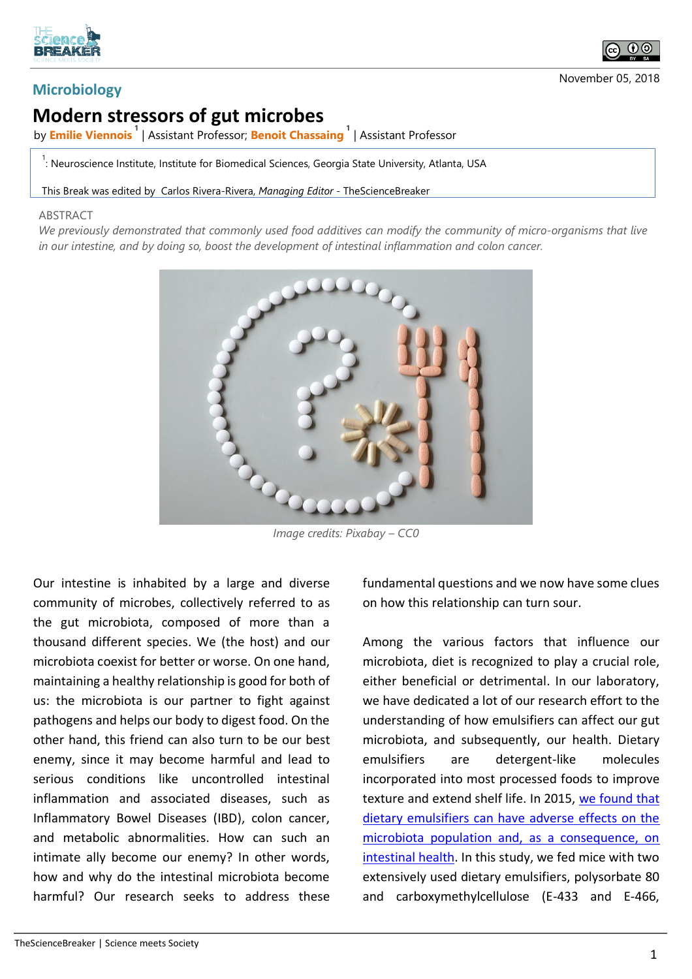

## **Microbiology**

## **Modern stressors of gut microbes**

by **Emilie Viennois <sup>1</sup>** | Assistant Professor; **Benoit Chassaing <sup>1</sup>** | Assistant Professor

<sup>1</sup>: Neuroscience Institute, Institute for Biomedical Sciences, Georgia State University, Atlanta, USA

This Break was edited by Carlos Rivera-Rivera, *Managing Editor* - TheScienceBreaker

## ABSTRACT

*We previously demonstrated that commonly used food additives can modify the community of micro-organisms that live in our intestine, and by doing so, boost the development of intestinal inflammation and colon cancer.*



*Image credits: Pixabay – CC0*

Our intestine is inhabited by a large and diverse community of microbes, collectively referred to as the gut microbiota, composed of more than a thousand different species. We (the host) and our microbiota coexist for better or worse. On one hand, maintaining a healthy relationship is good for both of us: the microbiota is our partner to fight against pathogens and helps our body to digest food. On the other hand, this friend can also turn to be our best enemy, since it may become harmful and lead to serious conditions like uncontrolled intestinal inflammation and associated diseases, such as Inflammatory Bowel Diseases (IBD), colon cancer, and metabolic abnormalities. How can such an intimate ally become our enemy? In other words, how and why do the intestinal microbiota become harmful? Our research seeks to address these

fundamental questions and we now have some clues on how this relationship can turn sour.

Among the various factors that influence our microbiota, diet is recognized to play a crucial role, either beneficial or detrimental. In our laboratory, we have dedicated a lot of our research effort to the understanding of how emulsifiers can affect our gut microbiota, and subsequently, our health. Dietary emulsifiers are detergent-like molecules incorporated into most processed foods to improve texture and extend shelf life. In 2015, [we found that](https://doi.org/10.1038/nature14232)  [dietary emulsifiers can have adverse effects on the](https://doi.org/10.1038/nature14232)  [microbiota population and, as a consequence, on](https://doi.org/10.1038/nature14232)  [intestinal health.](https://doi.org/10.1038/nature14232) In this study, we fed mice with two extensively used dietary emulsifiers, polysorbate 80 and carboxymethylcellulose (E-433 and E-466,